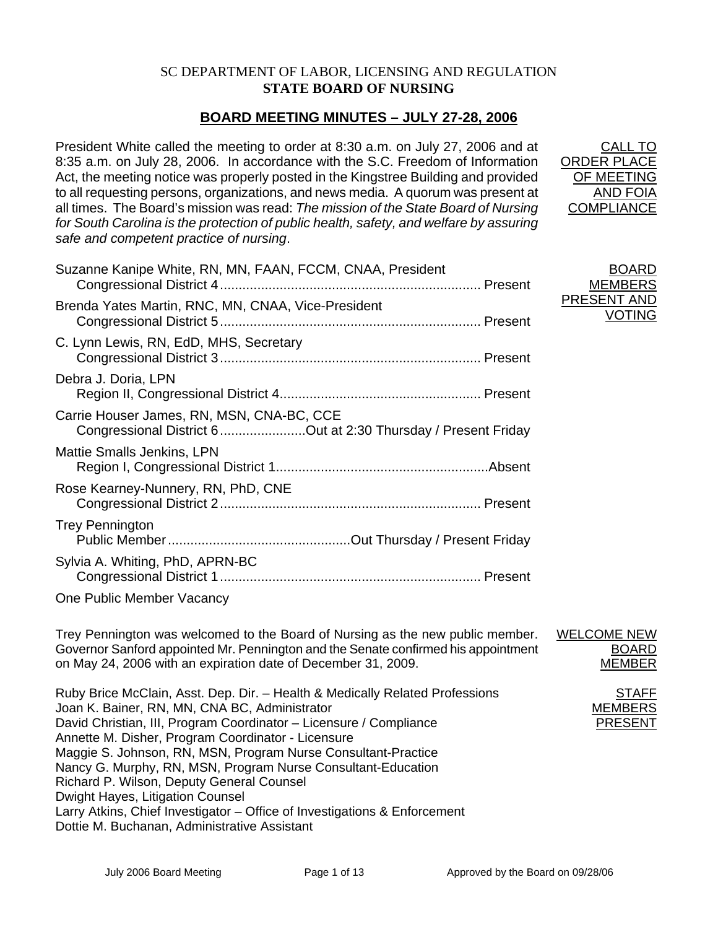# SC DEPARTMENT OF LABOR, LICENSING AND REGULATION **STATE BOARD OF NURSING**

# **BOARD MEETING MINUTES – JULY 27-28, 2006**

President White called the meeting to order at 8:30 a.m. on July 27, 2006 and at 8:35 a.m. on July 28, 2006. In accordance with the S.C. Freedom of Information Act, the meeting notice was properly posted in the Kingstree Building and provided to all requesting persons, organizations, and news media. A quorum was present at all times. The Board's mission was read: *The mission of the State Board of Nursing for South Carolina is the protection of public health, safety, and welfare by assuring safe and competent practice of nursing*. ORDER PLACE

| Suzanne Kanipe White, RN, MN, FAAN, FCCM, CNAA, President                                                   | <b>BOARD</b><br><b>MEMBERS</b>      |
|-------------------------------------------------------------------------------------------------------------|-------------------------------------|
| Brenda Yates Martin, RNC, MN, CNAA, Vice-President                                                          | <b>PRESENT AND</b><br><b>VOTING</b> |
| C. Lynn Lewis, RN, EdD, MHS, Secretary                                                                      |                                     |
| Debra J. Doria, LPN                                                                                         |                                     |
| Carrie Houser James, RN, MSN, CNA-BC, CCE<br>Congressional District 6 Out at 2:30 Thursday / Present Friday |                                     |
| Mattie Smalls Jenkins, LPN                                                                                  |                                     |
| Rose Kearney-Nunnery, RN, PhD, CNE                                                                          |                                     |
| <b>Trey Pennington</b>                                                                                      |                                     |
| Sylvia A. Whiting, PhD, APRN-BC                                                                             |                                     |
| One Public Member Vacancy                                                                                   |                                     |

Trey Pennington was welcomed to the Board of Nursing as the new public member. Governor Sanford appointed Mr. Pennington and the Senate confirmed his appointment on May 24, 2006 with an expiration date of December 31, 2009. WELCOME NEW BOARD MEMBER Ruby Brice McClain, Asst. Dep. Dir. – Health & Medically Related Professions Joan K. Bainer, RN, MN, CNA BC, Administrator David Christian, III, Program Coordinator – Licensure / Compliance Annette M. Disher, Program Coordinator - Licensure Maggie S. Johnson, RN, MSN, Program Nurse Consultant-Practice Nancy G. Murphy, RN, MSN, Program Nurse Consultant-Education Richard P. Wilson, Deputy General Counsel Dwight Hayes, Litigation Counsel Larry Atkins, Chief Investigator – Office of Investigations & Enforcement Dottie M. Buchanan, Administrative Assistant STAFF MEMBERS PRESENT

CALL TO

OF MEETING AND FOIA **COMPLIANCE**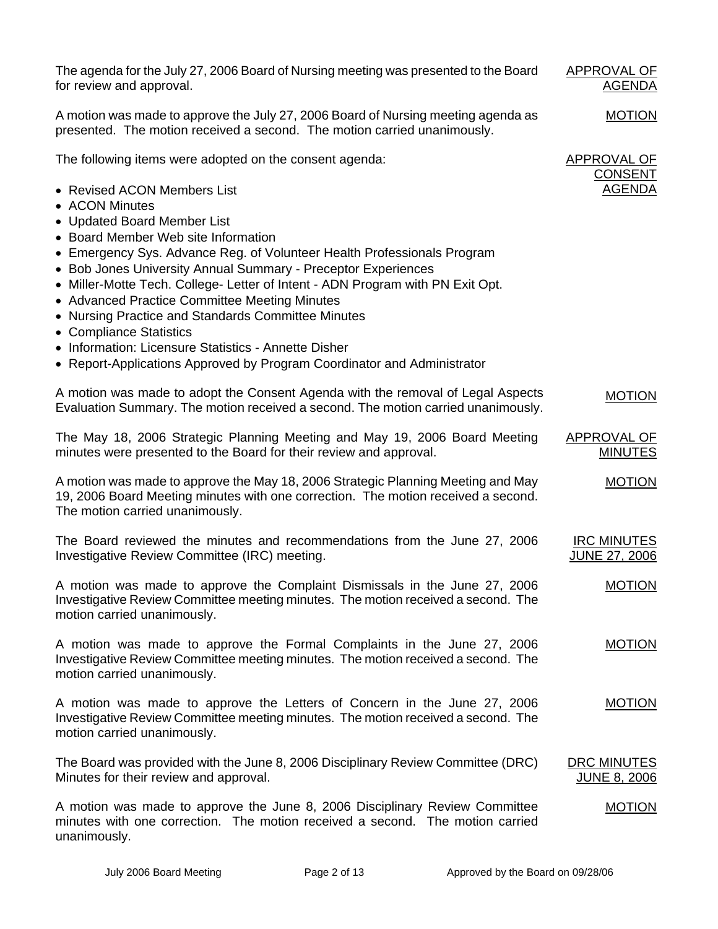| The agenda for the July 27, 2006 Board of Nursing meeting was presented to the Board<br>for review and approval.                                                                                                                                                                                                                                                                                                                                                                                                                                                                                                       | APPROVAL OF<br><u>AGENDA</u>               |
|------------------------------------------------------------------------------------------------------------------------------------------------------------------------------------------------------------------------------------------------------------------------------------------------------------------------------------------------------------------------------------------------------------------------------------------------------------------------------------------------------------------------------------------------------------------------------------------------------------------------|--------------------------------------------|
| A motion was made to approve the July 27, 2006 Board of Nursing meeting agenda as<br>presented. The motion received a second. The motion carried unanimously.                                                                                                                                                                                                                                                                                                                                                                                                                                                          | <b>MOTION</b>                              |
| The following items were adopted on the consent agenda:                                                                                                                                                                                                                                                                                                                                                                                                                                                                                                                                                                | <b>APPROVAL OF</b><br><b>CONSENT</b>       |
| • Revised ACON Members List<br>• ACON Minutes<br>• Updated Board Member List<br>• Board Member Web site Information<br>• Emergency Sys. Advance Reg. of Volunteer Health Professionals Program<br>• Bob Jones University Annual Summary - Preceptor Experiences<br>• Miller-Motte Tech. College- Letter of Intent - ADN Program with PN Exit Opt.<br>• Advanced Practice Committee Meeting Minutes<br>• Nursing Practice and Standards Committee Minutes<br>• Compliance Statistics<br>• Information: Licensure Statistics - Annette Disher<br>• Report-Applications Approved by Program Coordinator and Administrator | <b>AGENDA</b>                              |
| A motion was made to adopt the Consent Agenda with the removal of Legal Aspects<br>Evaluation Summary. The motion received a second. The motion carried unanimously.                                                                                                                                                                                                                                                                                                                                                                                                                                                   | <b>MOTION</b>                              |
| The May 18, 2006 Strategic Planning Meeting and May 19, 2006 Board Meeting<br>minutes were presented to the Board for their review and approval.                                                                                                                                                                                                                                                                                                                                                                                                                                                                       | APPROVAL OF<br><b>MINUTES</b>              |
| A motion was made to approve the May 18, 2006 Strategic Planning Meeting and May<br>19, 2006 Board Meeting minutes with one correction. The motion received a second.<br>The motion carried unanimously.                                                                                                                                                                                                                                                                                                                                                                                                               | <b>MOTION</b>                              |
| The Board reviewed the minutes and recommendations from the June 27, 2006<br>Investigative Review Committee (IRC) meeting.                                                                                                                                                                                                                                                                                                                                                                                                                                                                                             | <b>IRC MINUTES</b><br><b>JUNE 27, 2006</b> |
| A motion was made to approve the Complaint Dismissals in the June 27, 2006<br>Investigative Review Committee meeting minutes. The motion received a second. The<br>motion carried unanimously.                                                                                                                                                                                                                                                                                                                                                                                                                         | <b>MOTION</b>                              |
| A motion was made to approve the Formal Complaints in the June 27, 2006<br>Investigative Review Committee meeting minutes. The motion received a second. The<br>motion carried unanimously.                                                                                                                                                                                                                                                                                                                                                                                                                            | <b>MOTION</b>                              |
| A motion was made to approve the Letters of Concern in the June 27, 2006<br>Investigative Review Committee meeting minutes. The motion received a second. The<br>motion carried unanimously.                                                                                                                                                                                                                                                                                                                                                                                                                           | <b>MOTION</b>                              |
| The Board was provided with the June 8, 2006 Disciplinary Review Committee (DRC)<br>Minutes for their review and approval.                                                                                                                                                                                                                                                                                                                                                                                                                                                                                             | DRC MINUTES<br><u>JUNE 8, 2006</u>         |
| A motion was made to approve the June 8, 2006 Disciplinary Review Committee<br>minutes with one correction. The motion received a second. The motion carried<br>unanimously.                                                                                                                                                                                                                                                                                                                                                                                                                                           | <b>MOTION</b>                              |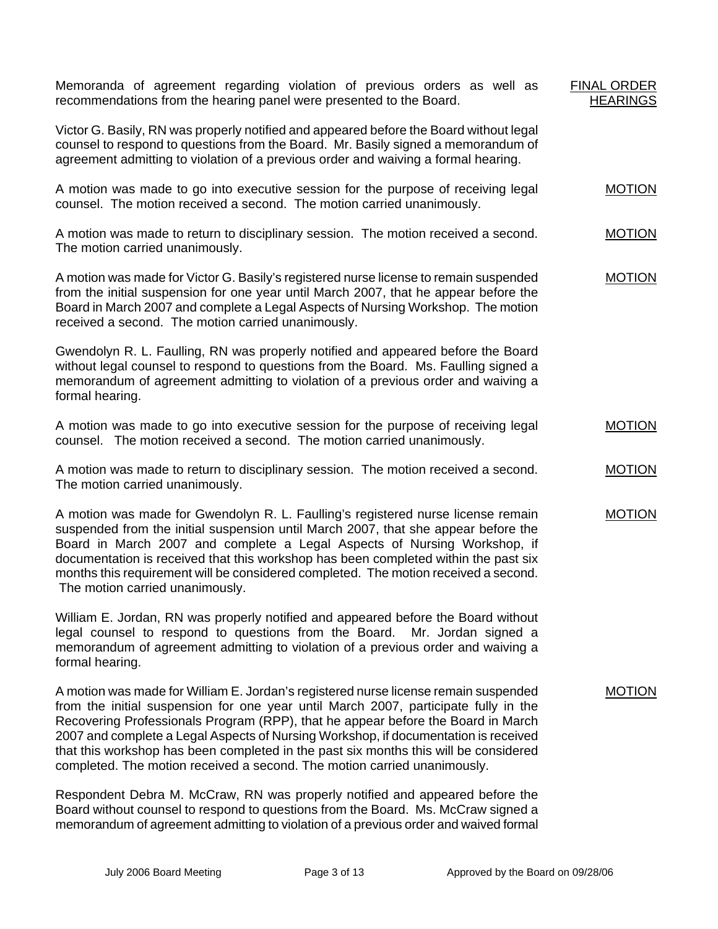| Memoranda of agreement regarding violation of previous orders as well as<br>recommendations from the hearing panel were presented to the Board.                                                                                                                                                                                                                                                                                                                                                                           | <b>FINAL ORDER</b><br><b>HEARINGS</b> |
|---------------------------------------------------------------------------------------------------------------------------------------------------------------------------------------------------------------------------------------------------------------------------------------------------------------------------------------------------------------------------------------------------------------------------------------------------------------------------------------------------------------------------|---------------------------------------|
| Victor G. Basily, RN was properly notified and appeared before the Board without legal<br>counsel to respond to questions from the Board. Mr. Basily signed a memorandum of<br>agreement admitting to violation of a previous order and waiving a formal hearing.                                                                                                                                                                                                                                                         |                                       |
| A motion was made to go into executive session for the purpose of receiving legal<br>counsel. The motion received a second. The motion carried unanimously.                                                                                                                                                                                                                                                                                                                                                               | <b>MOTION</b>                         |
| A motion was made to return to disciplinary session. The motion received a second.<br>The motion carried unanimously.                                                                                                                                                                                                                                                                                                                                                                                                     | <b>MOTION</b>                         |
| A motion was made for Victor G. Basily's registered nurse license to remain suspended<br>from the initial suspension for one year until March 2007, that he appear before the<br>Board in March 2007 and complete a Legal Aspects of Nursing Workshop. The motion<br>received a second. The motion carried unanimously.                                                                                                                                                                                                   | <b>MOTION</b>                         |
| Gwendolyn R. L. Faulling, RN was properly notified and appeared before the Board<br>without legal counsel to respond to questions from the Board. Ms. Faulling signed a<br>memorandum of agreement admitting to violation of a previous order and waiving a<br>formal hearing.                                                                                                                                                                                                                                            |                                       |
| A motion was made to go into executive session for the purpose of receiving legal<br>counsel. The motion received a second. The motion carried unanimously.                                                                                                                                                                                                                                                                                                                                                               | <b>MOTION</b>                         |
| A motion was made to return to disciplinary session. The motion received a second.<br>The motion carried unanimously.                                                                                                                                                                                                                                                                                                                                                                                                     | <b>MOTION</b>                         |
| A motion was made for Gwendolyn R. L. Faulling's registered nurse license remain<br>suspended from the initial suspension until March 2007, that she appear before the<br>Board in March 2007 and complete a Legal Aspects of Nursing Workshop, if<br>documentation is received that this workshop has been completed within the past six<br>months this requirement will be considered completed. The motion received a second.<br>The motion carried unanimously.                                                       | <b>MOTION</b>                         |
| William E. Jordan, RN was properly notified and appeared before the Board without<br>legal counsel to respond to questions from the Board. Mr. Jordan signed a<br>memorandum of agreement admitting to violation of a previous order and waiving a<br>formal hearing.                                                                                                                                                                                                                                                     |                                       |
| A motion was made for William E. Jordan's registered nurse license remain suspended<br>from the initial suspension for one year until March 2007, participate fully in the<br>Recovering Professionals Program (RPP), that he appear before the Board in March<br>2007 and complete a Legal Aspects of Nursing Workshop, if documentation is received<br>that this workshop has been completed in the past six months this will be considered<br>completed. The motion received a second. The motion carried unanimously. | <b>MOTION</b>                         |
| Respondent Debra M. McCraw, RN was properly notified and appeared before the<br>Board without counsel to respond to questions from the Board. Ms. McCraw signed a                                                                                                                                                                                                                                                                                                                                                         |                                       |

memorandum of agreement admitting to violation of a previous order and waived formal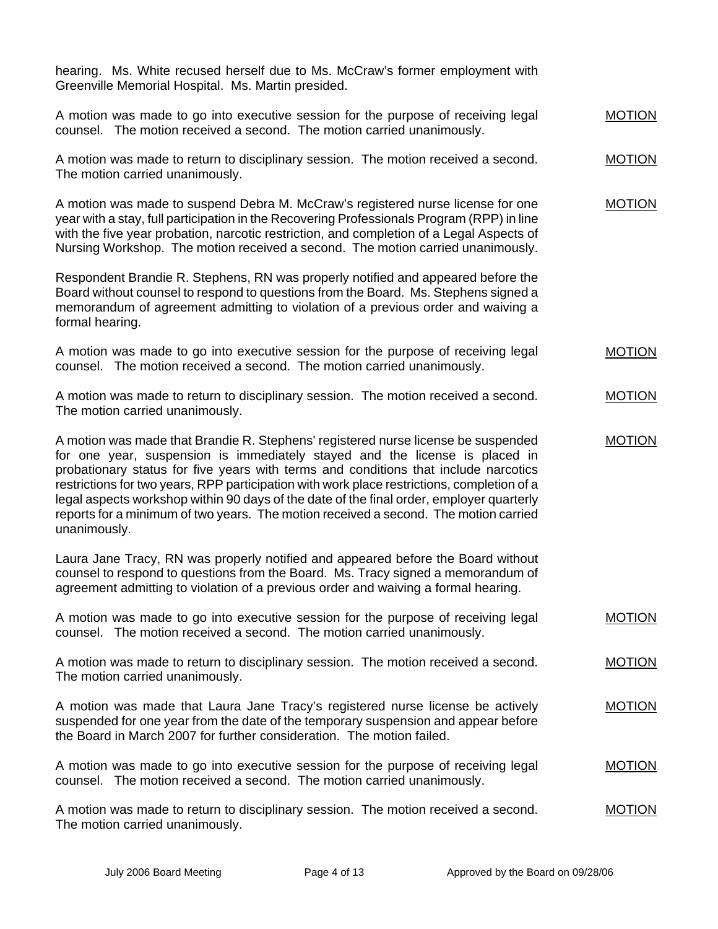hearing. Ms. White recused herself due to Ms. McCraw's former employment with Greenville Memorial Hospital. Ms. Martin presided.

| A motion was made to go into executive session for the purpose of receiving legal<br>counsel. The motion received a second. The motion carried unanimously.                                                                                                                                                                                                                                                                                                                                                                                                | <b>MOTION</b> |
|------------------------------------------------------------------------------------------------------------------------------------------------------------------------------------------------------------------------------------------------------------------------------------------------------------------------------------------------------------------------------------------------------------------------------------------------------------------------------------------------------------------------------------------------------------|---------------|
| A motion was made to return to disciplinary session. The motion received a second.<br>The motion carried unanimously.                                                                                                                                                                                                                                                                                                                                                                                                                                      | <b>MOTION</b> |
| A motion was made to suspend Debra M. McCraw's registered nurse license for one<br>year with a stay, full participation in the Recovering Professionals Program (RPP) in line<br>with the five year probation, narcotic restriction, and completion of a Legal Aspects of<br>Nursing Workshop. The motion received a second. The motion carried unanimously.                                                                                                                                                                                               | <b>MOTION</b> |
| Respondent Brandie R. Stephens, RN was properly notified and appeared before the<br>Board without counsel to respond to questions from the Board. Ms. Stephens signed a<br>memorandum of agreement admitting to violation of a previous order and waiving a<br>formal hearing.                                                                                                                                                                                                                                                                             |               |
| A motion was made to go into executive session for the purpose of receiving legal<br>counsel. The motion received a second. The motion carried unanimously.                                                                                                                                                                                                                                                                                                                                                                                                | <b>MOTION</b> |
| A motion was made to return to disciplinary session. The motion received a second.<br>The motion carried unanimously.                                                                                                                                                                                                                                                                                                                                                                                                                                      | <b>MOTION</b> |
| A motion was made that Brandie R. Stephens' registered nurse license be suspended<br>for one year, suspension is immediately stayed and the license is placed in<br>probationary status for five years with terms and conditions that include narcotics<br>restrictions for two years, RPP participation with work place restrictions, completion of a<br>legal aspects workshop within 90 days of the date of the final order, employer quarterly<br>reports for a minimum of two years. The motion received a second. The motion carried<br>unanimously. | <b>MOTION</b> |
| Laura Jane Tracy, RN was properly notified and appeared before the Board without<br>counsel to respond to questions from the Board. Ms. Tracy signed a memorandum of<br>agreement admitting to violation of a previous order and waiving a formal hearing.                                                                                                                                                                                                                                                                                                 |               |
| A motion was made to go into executive session for the purpose of receiving legal<br>counsel. The motion received a second. The motion carried unanimously.                                                                                                                                                                                                                                                                                                                                                                                                | <b>MOTION</b> |
| A motion was made to return to disciplinary session. The motion received a second.<br>The motion carried unanimously.                                                                                                                                                                                                                                                                                                                                                                                                                                      | <b>MOTION</b> |
| A motion was made that Laura Jane Tracy's registered nurse license be actively<br>suspended for one year from the date of the temporary suspension and appear before<br>the Board in March 2007 for further consideration. The motion failed.                                                                                                                                                                                                                                                                                                              | <b>MOTION</b> |
| A motion was made to go into executive session for the purpose of receiving legal<br>counsel. The motion received a second. The motion carried unanimously.                                                                                                                                                                                                                                                                                                                                                                                                | <b>MOTION</b> |
| A motion was made to return to disciplinary session. The motion received a second.<br>The motion carried unanimously.                                                                                                                                                                                                                                                                                                                                                                                                                                      | <b>MOTION</b> |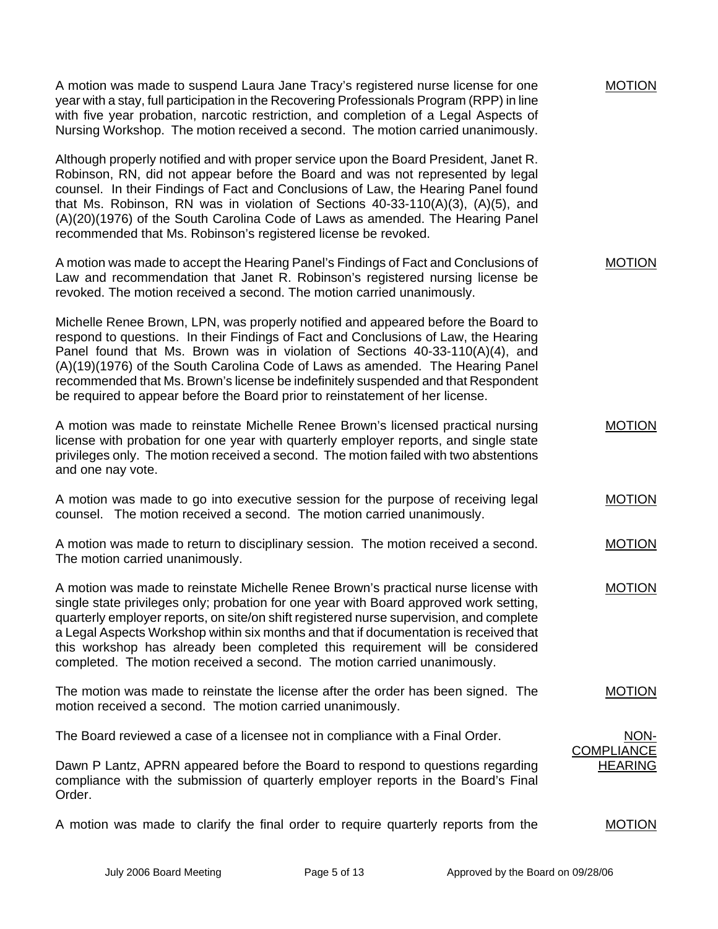| A motion was made to suspend Laura Jane Tracy's registered nurse license for one<br>year with a stay, full participation in the Recovering Professionals Program (RPP) in line<br>with five year probation, narcotic restriction, and completion of a Legal Aspects of<br>Nursing Workshop. The motion received a second. The motion carried unanimously.                                                                                                                                                                    | <b>MOTION</b>                       |
|------------------------------------------------------------------------------------------------------------------------------------------------------------------------------------------------------------------------------------------------------------------------------------------------------------------------------------------------------------------------------------------------------------------------------------------------------------------------------------------------------------------------------|-------------------------------------|
| Although properly notified and with proper service upon the Board President, Janet R.<br>Robinson, RN, did not appear before the Board and was not represented by legal<br>counsel. In their Findings of Fact and Conclusions of Law, the Hearing Panel found<br>that Ms. Robinson, RN was in violation of Sections 40-33-110(A)(3), (A)(5), and<br>(A)(20)(1976) of the South Carolina Code of Laws as amended. The Hearing Panel<br>recommended that Ms. Robinson's registered license be revoked.                         |                                     |
| A motion was made to accept the Hearing Panel's Findings of Fact and Conclusions of<br>Law and recommendation that Janet R. Robinson's registered nursing license be<br>revoked. The motion received a second. The motion carried unanimously.                                                                                                                                                                                                                                                                               | <b>MOTION</b>                       |
| Michelle Renee Brown, LPN, was properly notified and appeared before the Board to<br>respond to questions. In their Findings of Fact and Conclusions of Law, the Hearing<br>Panel found that Ms. Brown was in violation of Sections 40-33-110(A)(4), and<br>(A)(19)(1976) of the South Carolina Code of Laws as amended. The Hearing Panel<br>recommended that Ms. Brown's license be indefinitely suspended and that Respondent<br>be required to appear before the Board prior to reinstatement of her license.            |                                     |
| A motion was made to reinstate Michelle Renee Brown's licensed practical nursing<br>license with probation for one year with quarterly employer reports, and single state<br>privileges only. The motion received a second. The motion failed with two abstentions<br>and one nay vote.                                                                                                                                                                                                                                      | <b>MOTION</b>                       |
| A motion was made to go into executive session for the purpose of receiving legal<br>counsel. The motion received a second. The motion carried unanimously.                                                                                                                                                                                                                                                                                                                                                                  | <b>MOTION</b>                       |
| A motion was made to return to disciplinary session. The motion received a second.<br>The motion carried unanimously.                                                                                                                                                                                                                                                                                                                                                                                                        | <b>MOTION</b>                       |
| A motion was made to reinstate Michelle Renee Brown's practical nurse license with<br>single state privileges only; probation for one year with Board approved work setting,<br>quarterly employer reports, on site/on shift registered nurse supervision, and complete<br>a Legal Aspects Workshop within six months and that if documentation is received that<br>this workshop has already been completed this requirement will be considered<br>completed. The motion received a second. The motion carried unanimously. | <b>MOTION</b>                       |
| The motion was made to reinstate the license after the order has been signed. The<br>motion received a second. The motion carried unanimously.                                                                                                                                                                                                                                                                                                                                                                               | <b>MOTION</b>                       |
| The Board reviewed a case of a licensee not in compliance with a Final Order.                                                                                                                                                                                                                                                                                                                                                                                                                                                | NON-                                |
| Dawn P Lantz, APRN appeared before the Board to respond to questions regarding<br>compliance with the submission of quarterly employer reports in the Board's Final<br>Order.                                                                                                                                                                                                                                                                                                                                                | <b>COMPLIANCE</b><br><b>HEARING</b> |
| A motion was made to clarify the final order to require quarterly reports from the                                                                                                                                                                                                                                                                                                                                                                                                                                           | <b>MOTION</b>                       |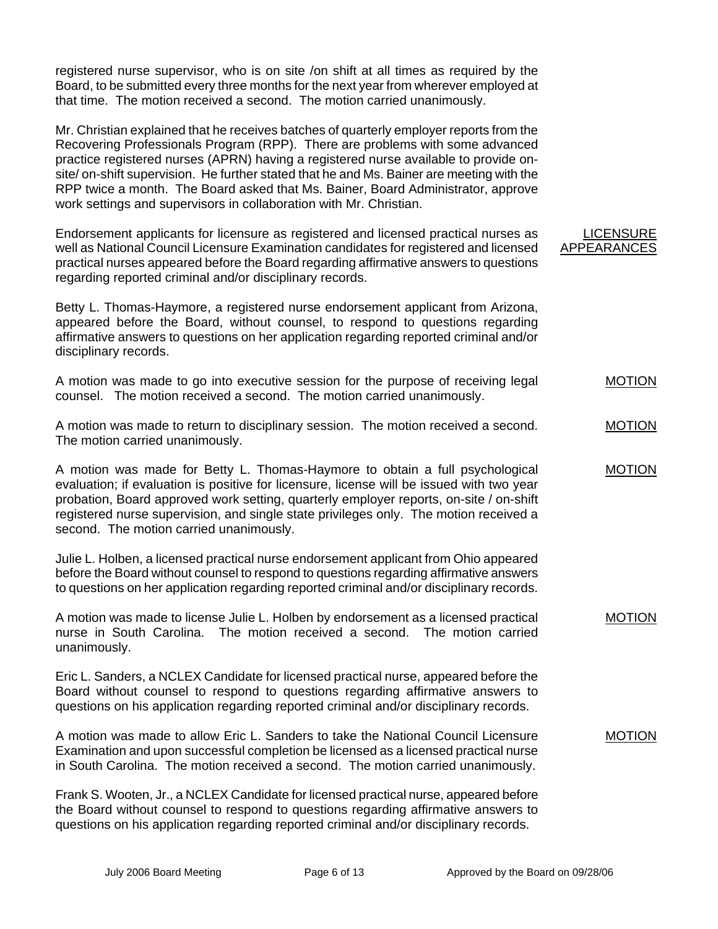registered nurse supervisor, who is on site /on shift at all times as required by the Board, to be submitted every three months for the next year from wherever employed at that time. The motion received a second. The motion carried unanimously.

Mr. Christian explained that he receives batches of quarterly employer reports from the Recovering Professionals Program (RPP). There are problems with some advanced practice registered nurses (APRN) having a registered nurse available to provide onsite/ on-shift supervision. He further stated that he and Ms. Bainer are meeting with the RPP twice a month. The Board asked that Ms. Bainer, Board Administrator, approve work settings and supervisors in collaboration with Mr. Christian.

Endorsement applicants for licensure as registered and licensed practical nurses as well as National Council Licensure Examination candidates for registered and licensed practical nurses appeared before the Board regarding affirmative answers to questions regarding reported criminal and/or disciplinary records. **LICENSURE APPEARANCE** 

Betty L. Thomas-Haymore, a registered nurse endorsement applicant from Arizona, appeared before the Board, without counsel, to respond to questions regarding affirmative answers to questions on her application regarding reported criminal and/or disciplinary records.

|  | A motion was made to go into executive session for the purpose of receiving legal | <b>MOTION</b> |
|--|-----------------------------------------------------------------------------------|---------------|
|  | counsel. The motion received a second. The motion carried unanimously.            |               |

A motion was made to return to disciplinary session. The motion received a second. The motion carried unanimously.

A motion was made for Betty L. Thomas-Haymore to obtain a full psychological evaluation; if evaluation is positive for licensure, license will be issued with two year probation, Board approved work setting, quarterly employer reports, on-site / on-shift registered nurse supervision, and single state privileges only. The motion received a second. The motion carried unanimously.

Julie L. Holben, a licensed practical nurse endorsement applicant from Ohio appeared before the Board without counsel to respond to questions regarding affirmative answers to questions on her application regarding reported criminal and/or disciplinary records.

A motion was made to license Julie L. Holben by endorsement as a licensed practical nurse in South Carolina. The motion received a second. The motion carried unanimously. MOTION

Eric L. Sanders, a NCLEX Candidate for licensed practical nurse, appeared before the Board without counsel to respond to questions regarding affirmative answers to questions on his application regarding reported criminal and/or disciplinary records.

A motion was made to allow Eric L. Sanders to take the National Council Licensure Examination and upon successful completion be licensed as a licensed practical nurse in South Carolina. The motion received a second. The motion carried unanimously. MOTION

Frank S. Wooten, Jr., a NCLEX Candidate for licensed practical nurse, appeared before the Board without counsel to respond to questions regarding affirmative answers to questions on his application regarding reported criminal and/or disciplinary records.

MOTION

MOTION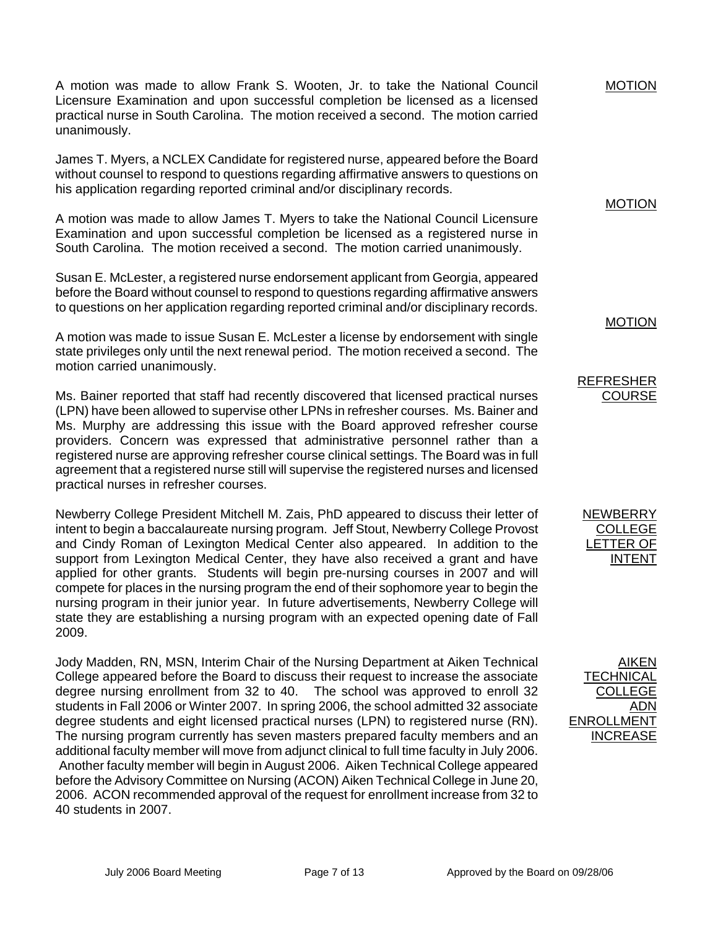A motion was made to allow Frank S. Wooten, Jr. to take the National Council Licensure Examination and upon successful completion be licensed as a licensed practical nurse in South Carolina. The motion received a second. The motion carried unanimously.

James T. Myers, a NCLEX Candidate for registered nurse, appeared before the Board without counsel to respond to questions regarding affirmative answers to questions on his application regarding reported criminal and/or disciplinary records.

A motion was made to allow James T. Myers to take the National Council Licensure Examination and upon successful completion be licensed as a registered nurse in South Carolina. The motion received a second. The motion carried unanimously.

Susan E. McLester, a registered nurse endorsement applicant from Georgia, appeared before the Board without counsel to respond to questions regarding affirmative answers to questions on her application regarding reported criminal and/or disciplinary records.

A motion was made to issue Susan E. McLester a license by endorsement with single state privileges only until the next renewal period. The motion received a second. The motion carried unanimously.

Ms. Bainer reported that staff had recently discovered that licensed practical nurses (LPN) have been allowed to supervise other LPNs in refresher courses. Ms. Bainer and Ms. Murphy are addressing this issue with the Board approved refresher course providers. Concern was expressed that administrative personnel rather than a registered nurse are approving refresher course clinical settings. The Board was in full agreement that a registered nurse still will supervise the registered nurses and licensed practical nurses in refresher courses.

Newberry College President Mitchell M. Zais, PhD appeared to discuss their letter of intent to begin a baccalaureate nursing program. Jeff Stout, Newberry College Provost and Cindy Roman of Lexington Medical Center also appeared. In addition to the support from Lexington Medical Center, they have also received a grant and have applied for other grants. Students will begin pre-nursing courses in 2007 and will compete for places in the nursing program the end of their sophomore year to begin the nursing program in their junior year. In future advertisements, Newberry College will state they are establishing a nursing program with an expected opening date of Fall 2009.

Jody Madden, RN, MSN, Interim Chair of the Nursing Department at Aiken Technical College appeared before the Board to discuss their request to increase the associate degree nursing enrollment from 32 to 40. The school was approved to enroll 32 students in Fall 2006 or Winter 2007. In spring 2006, the school admitted 32 associate degree students and eight licensed practical nurses (LPN) to registered nurse (RN). The nursing program currently has seven masters prepared faculty members and an additional faculty member will move from adjunct clinical to full time faculty in July 2006. Another faculty member will begin in August 2006. Aiken Technical College appeared before the Advisory Committee on Nursing (ACON) Aiken Technical College in June 20, 2006. ACON recommended approval of the request for enrollment increase from 32 to 40 students in 2007.

**NEWBERRY** COLLEGE LETTER OF INTENT

MOTION

MOTION

MOTION

REFRESHER COURSE

AIKEN **TECHNICA** COLLEGE ADN ENROLLMENT INCREASE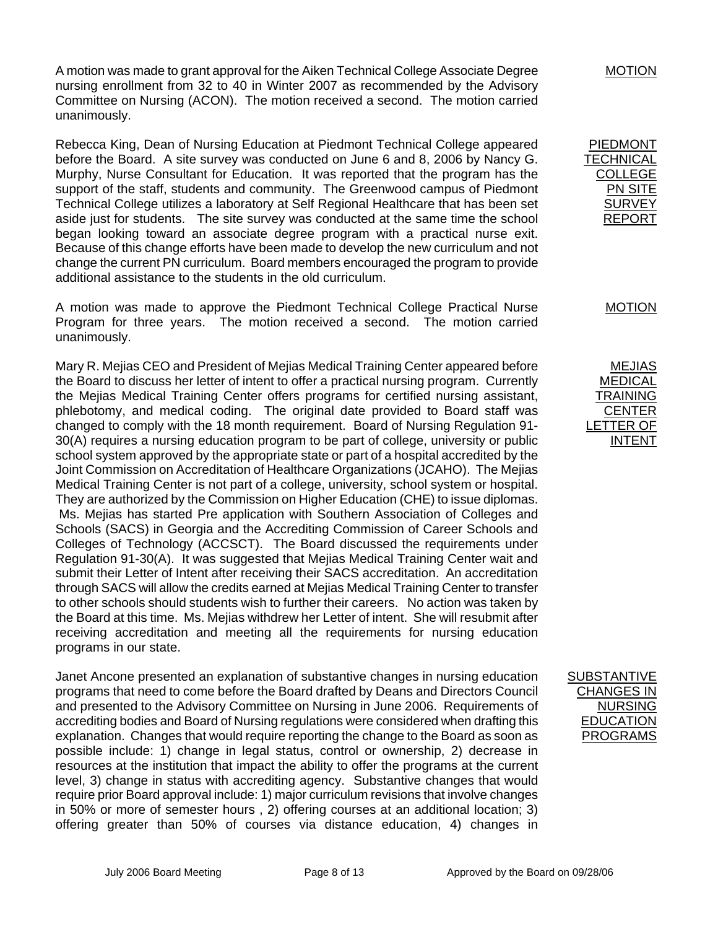A motion was made to grant approval for the Aiken Technical College Associate Degree nursing enrollment from 32 to 40 in Winter 2007 as recommended by the Advisory Committee on Nursing (ACON). The motion received a second. The motion carried unanimously.

Rebecca King, Dean of Nursing Education at Piedmont Technical College appeared before the Board. A site survey was conducted on June 6 and 8, 2006 by Nancy G. Murphy, Nurse Consultant for Education. It was reported that the program has the support of the staff, students and community. The Greenwood campus of Piedmont Technical College utilizes a laboratory at Self Regional Healthcare that has been set aside just for students. The site survey was conducted at the same time the school began looking toward an associate degree program with a practical nurse exit. Because of this change efforts have been made to develop the new curriculum and not change the current PN curriculum. Board members encouraged the program to provide additional assistance to the students in the old curriculum.

A motion was made to approve the Piedmont Technical College Practical Nurse Program for three years. The motion received a second. The motion carried unanimously.

Mary R. Mejias CEO and President of Mejias Medical Training Center appeared before the Board to discuss her letter of intent to offer a practical nursing program. Currently the Mejias Medical Training Center offers programs for certified nursing assistant, phlebotomy, and medical coding. The original date provided to Board staff was changed to comply with the 18 month requirement. Board of Nursing Regulation 91- 30(A) requires a nursing education program to be part of college, university or public school system approved by the appropriate state or part of a hospital accredited by the Joint Commission on Accreditation of Healthcare Organizations (JCAHO). The Mejias Medical Training Center is not part of a college, university, school system or hospital. They are authorized by the Commission on Higher Education (CHE) to issue diplomas. Ms. Mejias has started Pre application with Southern Association of Colleges and Schools (SACS) in Georgia and the Accrediting Commission of Career Schools and Colleges of Technology (ACCSCT). The Board discussed the requirements under Regulation 91-30(A). It was suggested that Mejias Medical Training Center wait and submit their Letter of Intent after receiving their SACS accreditation. An accreditation through SACS will allow the credits earned at Mejias Medical Training Center to transfer to other schools should students wish to further their careers. No action was taken by the Board at this time. Ms. Mejias withdrew her Letter of intent. She will resubmit after receiving accreditation and meeting all the requirements for nursing education programs in our state.

Janet Ancone presented an explanation of substantive changes in nursing education programs that need to come before the Board drafted by Deans and Directors Council and presented to the Advisory Committee on Nursing in June 2006. Requirements of accrediting bodies and Board of Nursing regulations were considered when drafting this explanation. Changes that would require reporting the change to the Board as soon as possible include: 1) change in legal status, control or ownership, 2) decrease in resources at the institution that impact the ability to offer the programs at the current level, 3) change in status with accrediting agency. Substantive changes that would require prior Board approval include: 1) major curriculum revisions that involve changes in 50% or more of semester hours , 2) offering courses at an additional location; 3) offering greater than 50% of courses via distance education, 4) changes in

MOTION

PIEDMONT **TECHNICAL** COLLEGE PN SITE SURVEY REPORT

MOTION

MEJIAS MEDICAL TRAINING CENTER LETTER OF INTENT

SUBSTANTIVE CHANGES IN NURSING **EDUCATION** PROGRAMS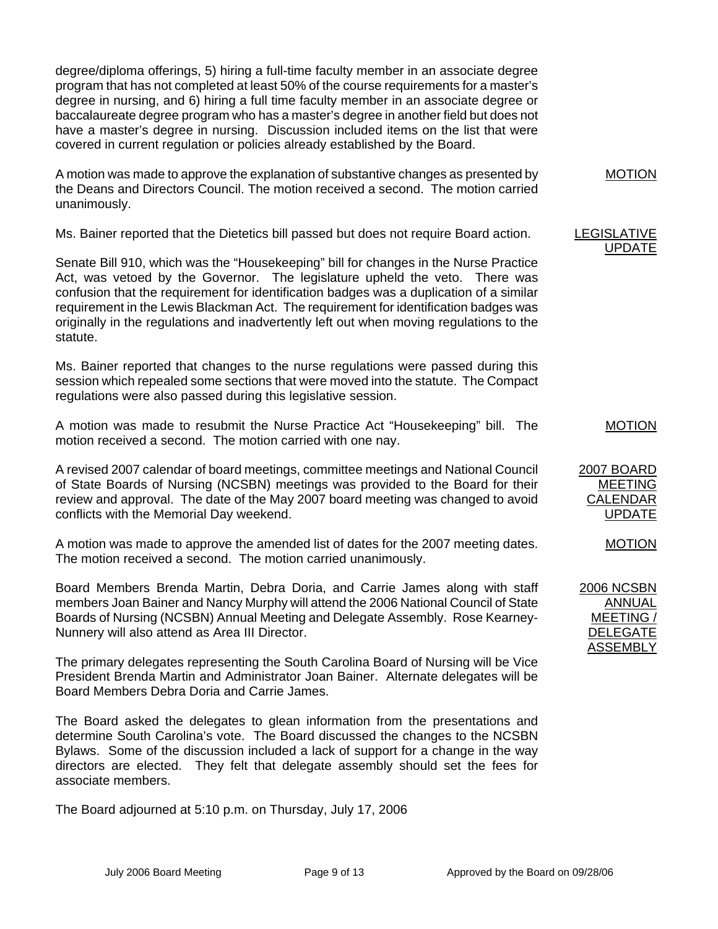degree/diploma offerings, 5) hiring a full-time faculty member in an associate degree program that has not completed at least 50% of the course requirements for a master's degree in nursing, and 6) hiring a full time faculty member in an associate degree or baccalaureate degree program who has a master's degree in another field but does not have a master's degree in nursing. Discussion included items on the list that were covered in current regulation or policies already established by the Board.

A motion was made to approve the explanation of substantive changes as presented by the Deans and Directors Council. The motion received a second. The motion carried unanimously.

Ms. Bainer reported that the Dietetics bill passed but does not require Board action.

Senate Bill 910, which was the "Housekeeping" bill for changes in the Nurse Practice Act, was vetoed by the Governor. The legislature upheld the veto. There was confusion that the requirement for identification badges was a duplication of a similar requirement in the Lewis Blackman Act. The requirement for identification badges was originally in the regulations and inadvertently left out when moving regulations to the statute.

Ms. Bainer reported that changes to the nurse regulations were passed during this session which repealed some sections that were moved into the statute. The Compact regulations were also passed during this legislative session.

A motion was made to resubmit the Nurse Practice Act "Housekeeping" bill. The motion received a second. The motion carried with one nay.

A revised 2007 calendar of board meetings, committee meetings and National Council of State Boards of Nursing (NCSBN) meetings was provided to the Board for their review and approval. The date of the May 2007 board meeting was changed to avoid conflicts with the Memorial Day weekend.

A motion was made to approve the amended list of dates for the 2007 meeting dates. The motion received a second. The motion carried unanimously.

Board Members Brenda Martin, Debra Doria, and Carrie James along with staff members Joan Bainer and Nancy Murphy will attend the 2006 National Council of State Boards of Nursing (NCSBN) Annual Meeting and Delegate Assembly. Rose Kearney-Nunnery will also attend as Area III Director.

The primary delegates representing the South Carolina Board of Nursing will be Vice President Brenda Martin and Administrator Joan Bainer. Alternate delegates will be Board Members Debra Doria and Carrie James.

The Board asked the delegates to glean information from the presentations and determine South Carolina's vote. The Board discussed the changes to the NCSBN Bylaws. Some of the discussion included a lack of support for a change in the way directors are elected. They felt that delegate assembly should set the fees for associate members.

The Board adjourned at 5:10 p.m. on Thursday, July 17, 2006

LEGISLATIVE UPDATE

MOTION

MOTION

2007 BOARD MEETING CALENDAR UPDATE

MOTION

2006 NCSBN ANNUAL MEETING / DELEGATE ASSEMBLY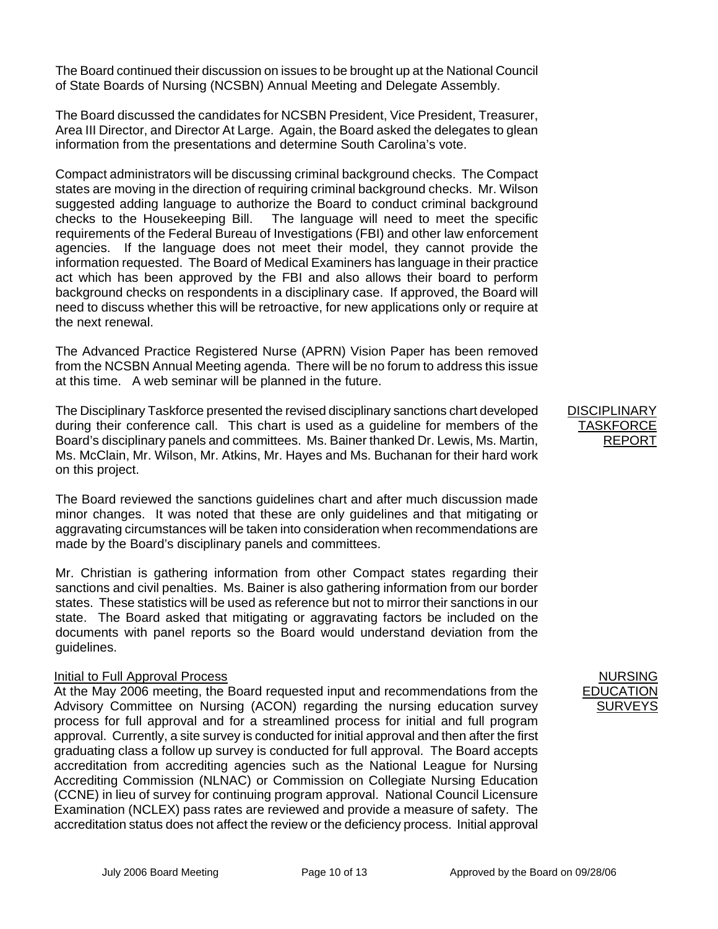The Board continued their discussion on issues to be brought up at the National Council of State Boards of Nursing (NCSBN) Annual Meeting and Delegate Assembly.

The Board discussed the candidates for NCSBN President, Vice President, Treasurer, Area III Director, and Director At Large. Again, the Board asked the delegates to glean information from the presentations and determine South Carolina's vote.

Compact administrators will be discussing criminal background checks. The Compact states are moving in the direction of requiring criminal background checks. Mr. Wilson suggested adding language to authorize the Board to conduct criminal background checks to the Housekeeping Bill. The language will need to meet the specific requirements of the Federal Bureau of Investigations (FBI) and other law enforcement agencies. If the language does not meet their model, they cannot provide the information requested. The Board of Medical Examiners has language in their practice act which has been approved by the FBI and also allows their board to perform background checks on respondents in a disciplinary case. If approved, the Board will need to discuss whether this will be retroactive, for new applications only or require at the next renewal.

The Advanced Practice Registered Nurse (APRN) Vision Paper has been removed from the NCSBN Annual Meeting agenda. There will be no forum to address this issue at this time. A web seminar will be planned in the future.

The Disciplinary Taskforce presented the revised disciplinary sanctions chart developed during their conference call. This chart is used as a guideline for members of the Board's disciplinary panels and committees. Ms. Bainer thanked Dr. Lewis, Ms. Martin, Ms. McClain, Mr. Wilson, Mr. Atkins, Mr. Hayes and Ms. Buchanan for their hard work on this project.

The Board reviewed the sanctions guidelines chart and after much discussion made minor changes. It was noted that these are only guidelines and that mitigating or aggravating circumstances will be taken into consideration when recommendations are made by the Board's disciplinary panels and committees.

Mr. Christian is gathering information from other Compact states regarding their sanctions and civil penalties. Ms. Bainer is also gathering information from our border states. These statistics will be used as reference but not to mirror their sanctions in our state. The Board asked that mitigating or aggravating factors be included on the documents with panel reports so the Board would understand deviation from the guidelines.

#### Initial to Full Approval Process

At the May 2006 meeting, the Board requested input and recommendations from the Advisory Committee on Nursing (ACON) regarding the nursing education survey process for full approval and for a streamlined process for initial and full program approval. Currently, a site survey is conducted for initial approval and then after the first graduating class a follow up survey is conducted for full approval. The Board accepts accreditation from accrediting agencies such as the National League for Nursing Accrediting Commission (NLNAC) or Commission on Collegiate Nursing Education (CCNE) in lieu of survey for continuing program approval. National Council Licensure Examination (NCLEX) pass rates are reviewed and provide a measure of safety. The accreditation status does not affect the review or the deficiency process. Initial approval

**DISCIPLINARY TASKFORC** REPORT

> NURSING EDUCATION <u>SURVEYS</u>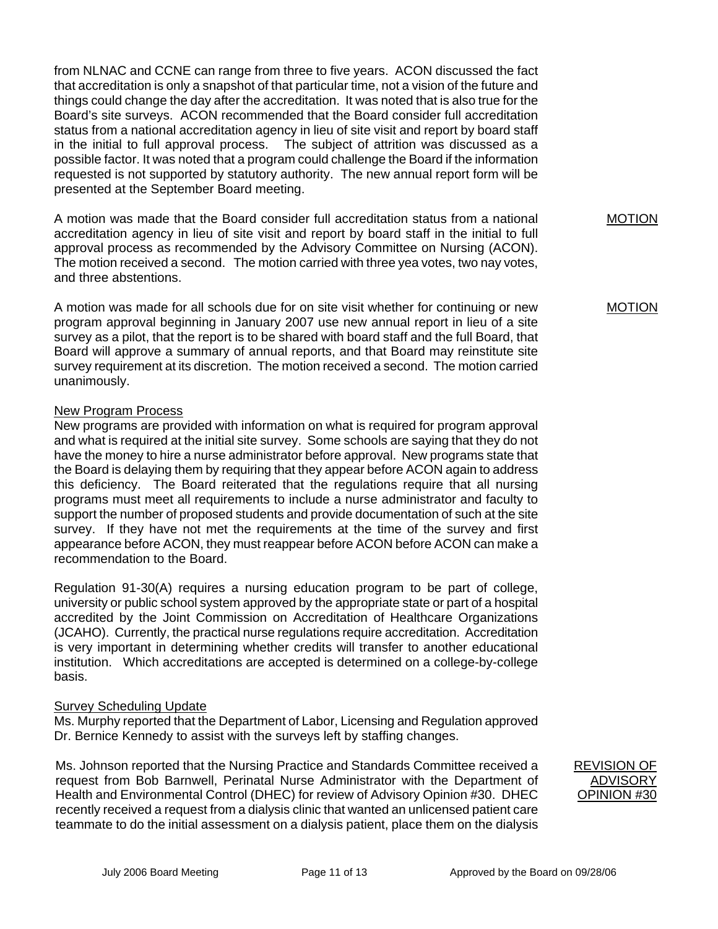from NLNAC and CCNE can range from three to five years. ACON discussed the fact that accreditation is only a snapshot of that particular time, not a vision of the future and things could change the day after the accreditation. It was noted that is also true for the Board's site surveys. ACON recommended that the Board consider full accreditation status from a national accreditation agency in lieu of site visit and report by board staff in the initial to full approval process. The subject of attrition was discussed as a possible factor. It was noted that a program could challenge the Board if the information requested is not supported by statutory authority. The new annual report form will be presented at the September Board meeting.

A motion was made that the Board consider full accreditation status from a national accreditation agency in lieu of site visit and report by board staff in the initial to full approval process as recommended by the Advisory Committee on Nursing (ACON). The motion received a second. The motion carried with three yea votes, two nay votes, and three abstentions.

A motion was made for all schools due for on site visit whether for continuing or new program approval beginning in January 2007 use new annual report in lieu of a site survey as a pilot, that the report is to be shared with board staff and the full Board, that Board will approve a summary of annual reports, and that Board may reinstitute site survey requirement at its discretion. The motion received a second. The motion carried unanimously.

### New Program Process

New programs are provided with information on what is required for program approval and what is required at the initial site survey. Some schools are saying that they do not have the money to hire a nurse administrator before approval. New programs state that the Board is delaying them by requiring that they appear before ACON again to address this deficiency. The Board reiterated that the regulations require that all nursing programs must meet all requirements to include a nurse administrator and faculty to support the number of proposed students and provide documentation of such at the site survey. If they have not met the requirements at the time of the survey and first appearance before ACON, they must reappear before ACON before ACON can make a recommendation to the Board.

Regulation 91-30(A) requires a nursing education program to be part of college, university or public school system approved by the appropriate state or part of a hospital accredited by the Joint Commission on Accreditation of Healthcare Organizations (JCAHO). Currently, the practical nurse regulations require accreditation. Accreditation is very important in determining whether credits will transfer to another educational institution. Which accreditations are accepted is determined on a college-by-college basis.

### **Survey Scheduling Update**

Ms. Murphy reported that the Department of Labor, Licensing and Regulation approved Dr. Bernice Kennedy to assist with the surveys left by staffing changes.

Ms. Johnson reported that the Nursing Practice and Standards Committee received a request from Bob Barnwell, Perinatal Nurse Administrator with the Department of Health and Environmental Control (DHEC) for review of Advisory Opinion #30. DHEC recently received a request from a dialysis clinic that wanted an unlicensed patient care teammate to do the initial assessment on a dialysis patient, place them on the dialysis REVISION OF ADVISORY OPINION #30

MOTION

MOTION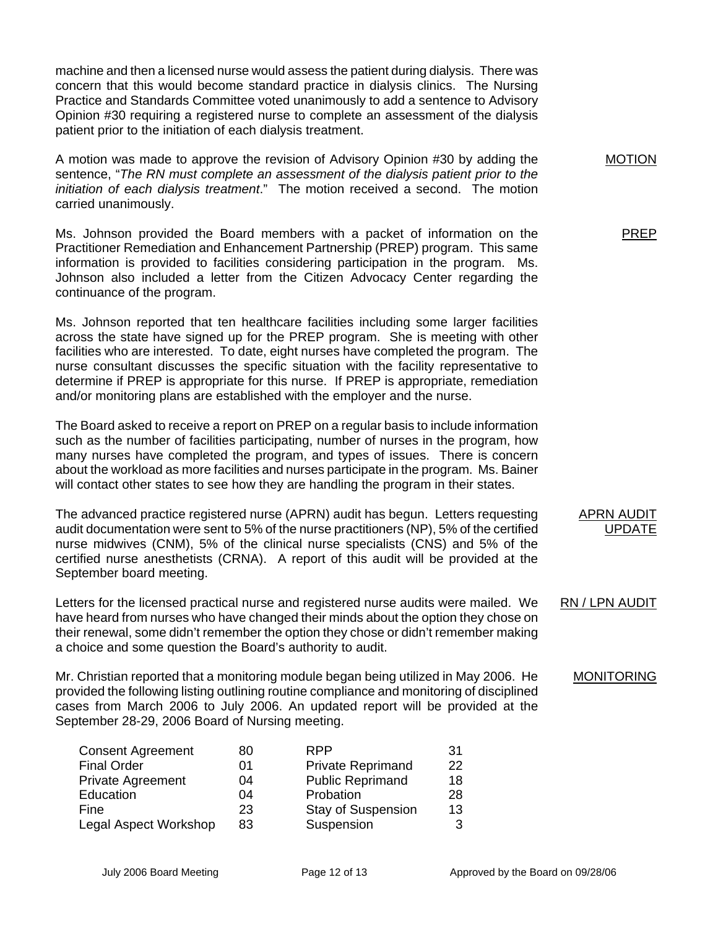machine and then a licensed nurse would assess the patient during dialysis. There was concern that this would become standard practice in dialysis clinics. The Nursing Practice and Standards Committee voted unanimously to add a sentence to Advisory Opinion #30 requiring a registered nurse to complete an assessment of the dialysis patient prior to the initiation of each dialysis treatment.

A motion was made to approve the revision of Advisory Opinion #30 by adding the sentence, "*The RN must complete an assessment of the dialysis patient prior to the initiation of each dialysis treatment*." The motion received a second. The motion carried unanimously.

Ms. Johnson provided the Board members with a packet of information on the Practitioner Remediation and Enhancement Partnership (PREP) program. This same information is provided to facilities considering participation in the program. Ms. Johnson also included a letter from the Citizen Advocacy Center regarding the continuance of the program.

Ms. Johnson reported that ten healthcare facilities including some larger facilities across the state have signed up for the PREP program. She is meeting with other facilities who are interested. To date, eight nurses have completed the program. The nurse consultant discusses the specific situation with the facility representative to determine if PREP is appropriate for this nurse. If PREP is appropriate, remediation and/or monitoring plans are established with the employer and the nurse.

The Board asked to receive a report on PREP on a regular basis to include information such as the number of facilities participating, number of nurses in the program, how many nurses have completed the program, and types of issues. There is concern about the workload as more facilities and nurses participate in the program. Ms. Bainer will contact other states to see how they are handling the program in their states.

The advanced practice registered nurse (APRN) audit has begun. Letters requesting audit documentation were sent to 5% of the nurse practitioners (NP), 5% of the certified nurse midwives (CNM), 5% of the clinical nurse specialists (CNS) and 5% of the certified nurse anesthetists (CRNA). A report of this audit will be provided at the September board meeting.

Letters for the licensed practical nurse and registered nurse audits were mailed. We have heard from nurses who have changed their minds about the option they chose on their renewal, some didn't remember the option they chose or didn't remember making a choice and some question the Board's authority to audit.

Mr. Christian reported that a monitoring module began being utilized in May 2006. He provided the following listing outlining routine compliance and monitoring of disciplined cases from March 2006 to July 2006. An updated report will be provided at the September 28-29, 2006 Board of Nursing meeting.

| <b>Consent Agreement</b> | 80 | <b>RPP</b>                | .31 |
|--------------------------|----|---------------------------|-----|
| <b>Final Order</b>       | 01 | <b>Private Reprimand</b>  | 22  |
| <b>Private Agreement</b> | 04 | <b>Public Reprimand</b>   | 18  |
| Education                | 04 | Probation                 | 28  |
| Fine                     | 23 | <b>Stay of Suspension</b> | 13  |
| Legal Aspect Workshop    | 83 | Suspension                | 3   |

MOTION

PREP

RN / LPN AUDIT

APRN AUDIT UPDATE

MONITORING